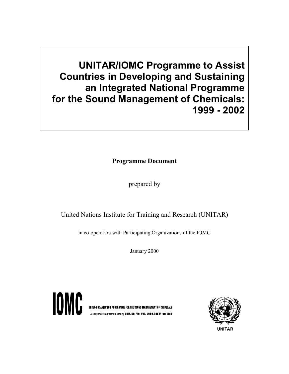**UNITAR/IOMC Programme to Assist Countries in Developing and Sustaining an Integrated National Programme for the Sound Management of Chemicals: 1999 - 2002**

**Programme Document**

prepared by

United Nations Institute for Training and Research (UNITAR)

in co-operation with Participating Organizations of the IOMC

January 2000



**INTER-ORGANIZATION PROGRAMME FOR THE SOUND MANAGEMENT OF CHEMICALS** A cooperative agreement among UNEP, ILO, FAO, WHO, UNIDO, UNITAR and OECD

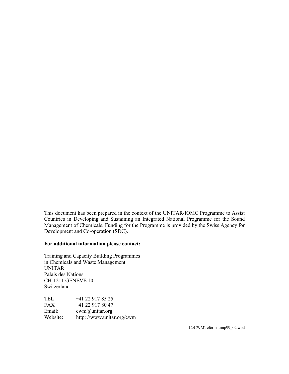This document has been prepared in the context of the UNITAR/IOMC Programme to Assist Countries in Developing and Sustaining an Integrated National Programme for the Sound Management of Chemicals. Funding for the Programme is provided by the Swiss Agency for Development and Co-operation (SDC).

#### **For additional information please contact:**

Training and Capacity Building Programmes in Chemicals and Waste Management UNITAR Palais des Nations CH-1211 GENEVE 10 Switzerland

| <b>TEL</b> | +41 22 917 85 25          |
|------------|---------------------------|
| <b>FAX</b> | $+41$ 22 917 80 47        |
| Email:     | $cwm(a)$ unitar.org       |
| Website:   | http://www.unitar.org/cwm |

C:\CWM\reformat\inp99\_02.wpd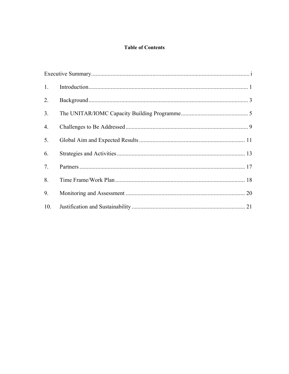# **Table of Contents**

| 1.             |  |
|----------------|--|
| 2.             |  |
| 3 <sub>1</sub> |  |
| 4.             |  |
| 5.             |  |
| 6.             |  |
| 7.             |  |
| 8.             |  |
| 9.             |  |
| 10.            |  |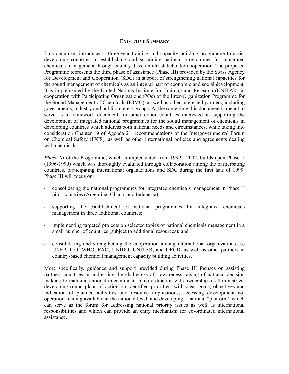#### **EXECUTIVE SUMMARY**

This document introduces a three-year training and capacity building programme to assist developing countries in establishing and sustaining national programmes for integrated chemicals management through country-driven multi-stakeholder cooperation. The proposed Programme represents the third phase of assistance (Phase III) provided by the Swiss Agency for Development and Cooperation (SDC) in support of strengthening national capacities for the sound management of chemicals as an integral part of economic and social development. It is implemented by the United Nations Institute for Training and Research (UNITAR) in cooperation with Participating Organizations (POs) of the Inter-Organization Programme for the Sound Management of Chemicals (IOMC), as well as other interested partners, including governments, industry and public interest groups. At the same time this document is meant to serve as a framework document for other donor countries interested in supporting the development of integrated national programmes for the sound management of chemicals in developing countries which address both national needs and circumstances, while taking into consideration Chapter 19 of Agenda 21, recommendations of the Intergovernmental Forum on Chemical Safety (IFCS), as well as other international policies and agreements dealing with chemicals

*Phase III* of the Programme, which is implemented from 1999 - 2002, builds upon Phase II (1996-1999) which was thoroughly evaluated through collaboration among the participating countries, participating international organizations and SDC during the first half of 1999. Phase III will focus on:

- consolidating the national programmes for integrated chemicals management in Phase II pilot countries (Argentina, Ghana, and Indonesia);
- supporting the establishment of national programmes for integrated chemicals management in three additional countries;
- implementing targeted projects on selected topics of national chemicals management in a small number of countries (subject to additional resources); and
- consolidating and strengthening the cooperation among international organizations, i.e UNEP, ILO, WHO, FAO, UNIDO, UNITAR, and OECD, as well as other partners in country-based chemical management capacity building activities.

More specifically, guidance and support provided during Phase III focuses on assisting partners countries in addressing the challenges of : awareness raising of national decision makers; formalizing national inter-ministerial co-ordination with ownership of all ministries; developing sound plans of action on identified priorities, with clear goals, objectives and indication of planned activities and resource implications; accessing development cooperation funding available at the national level; and developing a national "platform" which can serve as the forum for addressing national priority issues as well as international responsibilities and which can provide an entry mechanism for co-ordinated international assistance.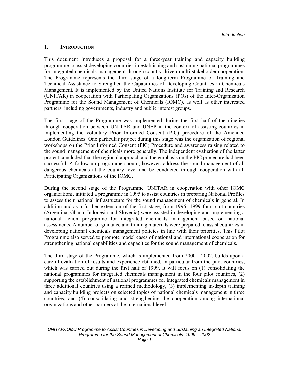#### **1. INTRODUCTION**

This document introduces a proposal for a three-year training and capacity building programme to assist developing countries in establishing and sustaining national programmes for integrated chemicals management through country-driven multi-stakeholder cooperation. The Programme represents the third stage of a long-term Programme of Training and Technical Assistance to Strengthen the Capabilities of Developing Countries in Chemicals Management. It is implemented by the United Nations Institute for Training and Research (UNITAR) in cooperation with Participating Organizations (POs) of the Inter-Organization Programme for the Sound Management of Chemicals (IOMC), as well as other interested partners, including governments, industry and public interest groups.

The first stage of the Programme was implemented during the first half of the nineties through cooperation between UNITAR and UNEP in the context of assisting countries in implementing the voluntary Prior Informed Consent (PIC) procedure of the Amended London Guidelines. One particular project during this stage was the organization of regional workshops on the Prior Informed Consent (PIC) Procedure and awareness raising related to the sound management of chemicals more generally. The independent evaluation of the latter project concluded that the regional approach and the emphasis on the PIC procedure had been successful. A follow-up programme should, however, address the sound management of all dangerous chemicals at the country level and be conducted through cooperation with all Participating Organizations of the IOMC.

During the second stage of the Programme, UNITAR in cooperation with other IOMC organizations, initiated a programme in 1995 to assist countries in preparing National Profiles to assess their national infrastructure for the sound management of chemicals in general. In addition and as a further extension of the first stage, from 1996 -1999 four pilot countries (Argentina, Ghana, Indonesia and Slovenia) were assisted in developing and implementing a national action programme for integrated chemicals management based on national assessments. A number of guidance and training materials were prepared to assist countries in developing national chemicals management policies in line with their priorities. This Pilot Programme also served to promote model cases of national and international cooperation for strengthening national capabilities and capacities for the sound management of chemicals.

The third stage of the Programme, which is implemented from 2000 - 2002, builds upon a careful evaluation of results and experience obtained, in particular from the pilot countries, which was carried out during the first half of 1999. It will focus on (1) consolidating the national programmes for integrated chemicals management in the four pilot countries, (2) supporting the establishment of national programmes for integrated chemicals management in three additional countries using a refined methodology, (3) implementing in-depth training and capacity building projects on selected topics of national chemicals management in three countries, and (4) consolidating and strengthening the cooperation among international organizations and other partners at the international level.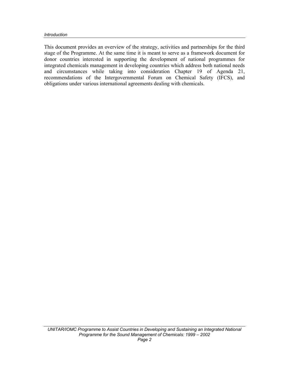#### *Introduction*

This document provides an overview of the strategy, activities and partnerships for the third stage of the Programme. At the same time it is meant to serve as a framework document for donor countries interested in supporting the development of national programmes for integrated chemicals management in developing countries which address both national needs and circumstances while taking into consideration Chapter 19 of Agenda 21, recommendations of the Intergovernmental Forum on Chemical Safety (IFCS), and obligations under various international agreements dealing with chemicals.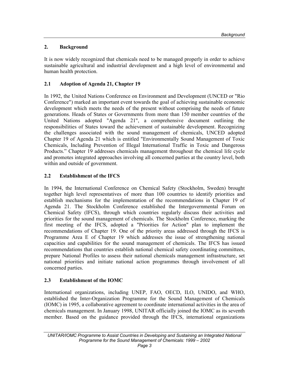# **2. Background**

It is now widely recognized that chemicals need to be managed properly in order to achieve sustainable agricultural and industrial development and a high level of environmental and human health protection.

### **2.1 Adoption of Agenda 21, Chapter 19**

In 1992, the United Nations Conference on Environment and Development (UNCED or "Rio Conference") marked an important event towards the goal of achieving sustainable economic development which meets the needs of the present without comprising the needs of future generations. Heads of States or Governments from more than 150 member countries of the United Nations adopted "Agenda 21", a comprehensive document outlining the responsibilities of States toward the achievement of sustainable development. Recognizing the challenges associated with the sound management of chemicals, UNCED adopted Chapter 19 of Agenda 21 which is entitled "Environmentally Sound Management of Toxic Chemicals, Including Prevention of Illegal International Traffic in Toxic and Dangerous Products." Chapter 19 addresses chemicals management throughout the chemical life cycle and promotes integrated approaches involving all concerned parties at the country level, both within and outside of government.

### **2.2 Establishment of the IFCS**

In 1994, the International Conference on Chemical Safety (Stockholm, Sweden) brought together high level representatives of more than 100 countries to identify priorities and establish mechanisms for the implementation of the recommendations in Chapter 19 of Agenda 21. The Stockholm Conference established the Intergovernmental Forum on Chemical Safety (IFCS), through which countries regularly discuss their activities and priorities for the sound management of chemicals. The Stockholm Conference, marking the first meeting of the IFCS, adopted a "Priorities for Action" plan to implement the recommendations of Chapter 19. One of the priority areas addressed through the IFCS is Programme Area E of Chapter 19 which addresses the issue of strengthening national capacities and capabilities for the sound management of chemicals. The IFCS has issued recommendations that countries establish national chemical safety coordinating committees, prepare National Profiles to assess their national chemicals management infrastructure, set national priorities and initiate national action programmes through involvement of all concerned parties.

# **2.3 Establishment of the IOMC**

International organizations, including UNEP, FAO, OECD, ILO, UNIDO, and WHO, established the Inter-Organization Programme for the Sound Management of Chemicals (IOMC) in 1995, a collaborative agreement to coordinate international activities in the area of chemicals management. In January 1998, UNITAR officially joined the IOMC as its seventh member. Based on the guidance provided through the IFCS, international organizations

UNITAR/IOMC Programme to Assist Countries in Developing and Sustaining an Integrated National *Programme for the Sound Management of Chemicals: 1999 – 2002*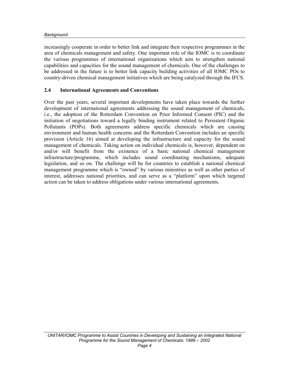#### *Background*

increasingly cooperate in order to better link and integrate their respective programmes in the area of chemicals management and safety. One important role of the IOMC is to coordinate the various programmes of international organizations which aim to strengthen national capabilities and capacities for the sound management of chemicals. One of the challenges to be addressed in the future is to better link capacity building activities of all IOMC POs to country-driven chemical management initiatives which are being catalyzed through the IFCS.

# **2.4 International Agreements and Conventions**

Over the past years, several important developments have taken place towards the further development of international agreements addressing the sound management of chemicals, i.e., the adoption of the Rotterdam Convention on Prior Informed Consent (PIC) and the initiation of negotiations toward a legally binding instrument related to Persistent Organic Pollutants (POPs). Both agreements address specific chemicals which are causing environment and human health concerns and the Rotterdam Convention includes an specific provision (Article 16) aimed at developing the infrastructure and capacity for the sound management of chemicals. Taking action on individual chemicals is, however, dependent on and/or will benefit from the existence of a basic national chemical management infrastructure/programme, which includes sound coordinating mechanisms, adequate legislation, and so on. The challenge will be for countries to establish a national chemical management programme which is "owned" by various ministries as well as other parties of interest, addresses national priorities, and can serve as a "platform" upon which targeted action can be taken to address obligations under various international agreements.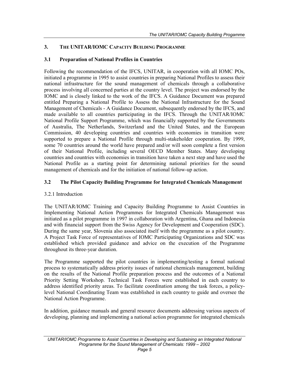### **3. THE UNITAR/IOMC CAPACITY BUILDING PROGRAMME**

### **3.1 Preparation of National Profiles in Countries**

Following the recommendation of the IFCS, UNITAR, in cooperation with all IOMC POs, initiated a programme in 1995 to assist countries in preparing National Profiles to assess their national infrastructure for the sound management of chemicals through a collaborative process involving all concerned parties at the country level. The project was endorsed by the IOMC and is closely linked to the work of the IFCS. A Guidance Document was prepared entitled Preparing a National Profile to Assess the National Infrastructure for the Sound Management of Chemicals - A Guidance Document, subsequently endorsed by the IFCS, and made available to all countries participating in the IFCS. Through the UNITAR/IOMC National Profile Support Programme, which was financially supported by the Governments of Australia, The Netherlands, Switzerland and the United States, and the European Commission, 40 developing countries and countries with economies in transition were supported to prepare a National Profile through multi-stakeholder cooperation. By 1999, some 70 countries around the world have prepared and/or will soon complete a first version of their National Profile, including several OECD Member States. Many developing countries and countries with economies in transition have taken a next step and have used the National Profile as a starting point for determining national priorities for the sound management of chemicals and for the initiation of national follow-up action.

# **3.2 The Pilot Capacity Building Programme for Integrated Chemicals Management**

### 3.2.1 Introduction

The UNITAR/IOMC Training and Capacity Building Programme to Assist Countries in Implementing National Action Programmes for Integrated Chemicals Management was initiated as a pilot programme in 1997 in collaboration with Argentina, Ghana and Indonesia and with financial support from the Swiss Agency for Development and Cooperation (SDC). During the same year, Slovenia also associated itself with the programme as a pilot country. A Project Task Force of representatives of IOMC Participating Organizations and SDC was established which provided guidance and advice on the execution of the Programme throughout its three-year duration.

The Programme supported the pilot countries in implementing/testing a formal national process to systematically address priority issues of national chemicals management, building on the results of the National Profile preparation process and the outcomes of a National Priority Setting Workshop. Technical Task Forces were established in each country to address identified priority areas. To facilitate coordination among the task forces, a policylevel National Coordinating Team was established in each country to guide and oversee the National Action Programme.

In addition, guidance manuals and general resource documents addressing various aspects of developing, planning and implementing a national action programme for integrated chemicals

*UNITAR/IOMC Programme to Assist Countries in Developing and Sustaining an Integrated National Programme for the Sound Management of Chemicals: 1999 – 2002*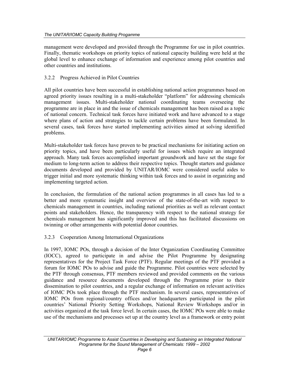management were developed and provided through the Programme for use in pilot countries. Finally, thematic workshops on priority topics of national capacity building were held at the global level to enhance exchange of information and experience among pilot countries and other countries and institutions.

### 3.2.2 Progress Achieved in Pilot Countries

All pilot countries have been successful in establishing national action programmes based on agreed priority issues resulting in a multi-stakeholder "platform" for addressing chemicals management issues. Multi-stakeholder national coordinating teams overseeing the programme are in place in and the issue of chemicals management has been raised as a topic of national concern. Technical task forces have initiated work and have advanced to a stage where plans of action and strategies to tackle certain problems have been formulated. In several cases, task forces have started implementing activities aimed at solving identified problems.

Multi-stakeholder task forces have proven to be practical mechanisms for initiating action on priority topics, and have been particularly useful for issues which require an integrated approach. Many task forces accomplished important groundwork and have set the stage for medium to long-term action to address their respective topics. Thought starters and guidance documents developed and provided by UNITAR/IOMC were considered useful aides to trigger initial and more systematic thinking within task forces and to assist in organizing and implementing targeted action.

In conclusion, the formulation of the national action programmes in all cases has led to a better and more systematic insight and overview of the state-of-the-art with respect to chemicals management in countries, including national priorities as well as relevant contact points and stakeholders. Hence, the transparency with respect to the national strategy for chemicals management has significantly improved and this has facilitated discussions on twinning or other arrangements with potential donor countries.

### 3.2.3 Cooperation Among International Organizations

In 1997, IOMC POs, through a decision of the Inter Organization Coordinating Committee (IOCC), agreed to participate in and advise the Pilot Programme by designating representatives for the Project Task Force (PTF). Regular meetings of the PTF provided a forum for IOMC POs to advise and guide the Programme. Pilot countries were selected by the PTF through consensus, PTF members reviewed and provided comments on the various guidance and resource documents developed through the Programme prior to their dissemination to pilot countries, and a regular exchange of information on relevant activities of IOMC POs took place through the PTF mechanism. In several cases, representatives of IOMC POs from regional/country offices and/or headquarters participated in the pilot countries' National Priority Setting Workshops, National Review Workshops and/or in activities organized at the task force level. In certain cases, the IOMC POs were able to make use of the mechanisms and processes set up at the country level as a framework or entry point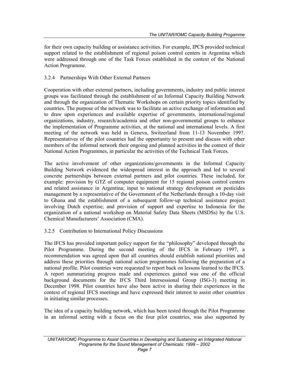for their own capacity building or assistance activities. For example, IPCS provided technical support related to the establishment of regional poison control centers in Argentina which were addressed through one of the Task Forces established in the context of the National Action Programme.

### 3.2.4 Partnerships With Other External Partners

Cooperation with other external partners, including governments, industry and public interest groups was facilitated through the establishment of an Informal Capacity Building Network and through the organization of Thematic Workshops on certain priority topics identified by countries. The purpose of the network was to facilitate an active exchange of information and to draw upon experiences and available expertise of governments, international/regional organizations, industry, research/academia and other non-governmental groups to enhance the implementation of Programme activities, at the national and international levels. A first meeting of the network was held in Geneva, Switzerland from 11-13 November 1997. Representatives of the pilot countries had the opportunity to present and discuss with other members of the informal network their ongoing and planned activities in the context of their National Action Programmes, in particular the activities of the Technical Task Forces.

The active involvement of other organizations/governments in the Informal Capacity Building Network evidenced the widespread interest in the approach and led to several concrete partnerships between external partners and pilot countries. These included, for example: provision by GTZ of computer equipment for 15 regional poison control centers and related assistance in Argentina; input to national strategy development on pesticides management by a representative of the Government of the Netherlands through a 10-day visit to Ghana and the establishment of a subsequent follow-up technical assistance project involving Dutch expertise; and provision of support and expertise to Indonesia for the organization of a national workshop on Material Safety Data Sheets (MSDSs) by the U.S. Chemical Manufacturers' Association (CMA).

### 3.2.5 Contribution to International Policy Discussions

The IFCS has provided important policy support for the "philosophy" developed through the Pilot Programme. During the second meeting of the IFCS in February 1997, a recommendation was agreed upon that all countries should establish national priorities and address these priorities through national action programmes following the preparation of a national profile. Pilot countries were requested to report back on lessons learned to the IFCS. A report summarizing progress made and experiences gained was one of the official background documents for the IFCS Third Intersessional Group (ISG-3) meeting in December 1998. Pilot countries have also been active in sharing their experiences in the context of regional IFCS meetings and have expressed their interest to assist other countries in initiating similar processes.

The idea of a capacity building network, which has been tested through the Pilot Programme in an informal setting with a focus on the four pilot countries, was also supported by

*UNITAR/IOMC Programme to Assist Countries in Developing and Sustaining an Integrated National Programme for the Sound Management of Chemicals: 1999 – 2002*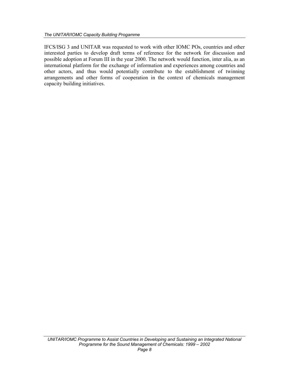IFCS/ISG 3 and UNITAR was requested to work with other IOMC POs, countries and other interested parties to develop draft terms of reference for the network for discussion and possible adoption at Forum III in the year 2000. The network would function, inter alia, as an international platform for the exchange of information and experiences among countries and other actors, and thus would potentially contribute to the establishment of twinning arrangements and other forms of cooperation in the context of chemicals management capacity building initiatives.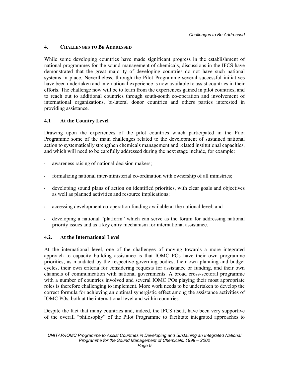#### **4. CHALLENGES TO BE ADDRESSED**

While some developing countries have made significant progress in the establishment of national programmes for the sound management of chemicals, discussions in the IFCS have demonstrated that the great majority of developing countries do not have such national systems in place. Nevertheless, through the Pilot Programme several successful initiatives have been undertaken and international experience is now available to assist countries in their efforts. The challenge now will be to learn from the experiences gained in pilot countries, and to reach out to additional countries through south-south co-operation and involvement of international organizations, bi-lateral donor countries and others parties interested in providing assistance.

### **4.1 At the Country Level**

Drawing upon the experiences of the pilot countries which participated in the Pilot Programme some of the main challenges related to the development of sustained national action to systematically strengthen chemicals management and related institutional capacities, and which will need to be carefully addressed during the next stage include, for example:

- awareness raising of national decision makers;
- formalizing national inter-ministerial co-ordination with ownership of all ministries;
- developing sound plans of action on identified priorities, with clear goals and objectives as well as planned activities and resource implications;
- accessing development co-operation funding available at the national level; and
- developing a national "platform" which can serve as the forum for addressing national priority issues and as a key entry mechanism for international assistance.

### **4.2. At the International Level**

At the international level, one of the challenges of moving towards a more integrated approach to capacity building assistance is that IOMC POs have their own programme priorities, as mandated by the respective governing bodies, their own planning and budget cycles, their own criteria for considering requests for assistance or funding, and their own channels of communication with national governments. A broad cross-sectoral programme with a number of countries involved and several IOMC POs playing their most appropriate roles is therefore challenging to implement. More work needs to be undertaken to develop the correct formula for achieving an optimal synergistic effect among the assistance activities of IOMC POs, both at the international level and within countries.

Despite the fact that many countries and, indeed, the IFCS itself, have been very supportive of the overall "philosophy" of the Pilot Programme to facilitate integrated approaches to

*UNITAR/IOMC Programme to Assist Countries in Developing and Sustaining an Integrated National Programme for the Sound Management of Chemicals: 1999 – 2002*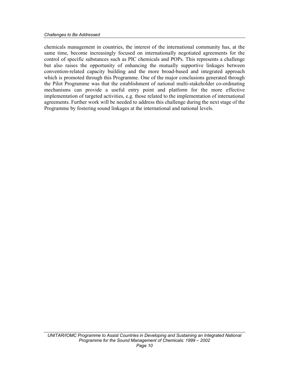chemicals management in countries, the interest of the international community has, at the same time, become increasingly focused on internationally negotiated agreements for the control of specific substances such as PIC chemicals and POPs. This represents a challenge but also raises the opportunity of enhancing the mutually supportive linkages between convention-related capacity building and the more broad-based and integrated approach which is promoted through this Programme. One of the major conclusions generated through the Pilot Programme was that the establishment of national multi-stakeholder co-ordinating mechanisms can provide a useful entry point and platform for the more effective implementation of targeted activities, e.g. those related to the implementation of international agreements. Further work will be needed to address this challenge during the next stage of the Programme by fostering sound linkages at the international and national levels.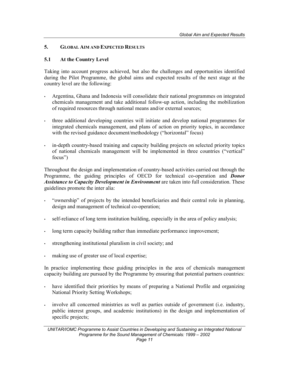### **5. GLOBAL AIM AND EXPECTED RESULTS**

#### **5.1 At the Country Level**

Taking into account progress achieved, but also the challenges and opportunities identified during the Pilot Programme, the global aims and expected results of the next stage at the country level are the following:

- Argentina, Ghana and Indonesia will consolidate their national programmes on integrated chemicals management and take additional follow-up action, including the mobilization of required resources through national means and/or external sources;
- three additional developing countries will initiate and develop national programmes for integrated chemicals management, and plans of action on priority topics, in accordance with the revised guidance document/methodology ("horizontal" focus)
- in-depth country-based training and capacity building projects on selected priority topics of national chemicals management will be implemented in three countries ("vertical" focus")

Throughout the design and implementation of country-based activities carried out through the Programme, the guiding principles of OECD for technical co-operation and *Donor Assistance to Capacity Development in Environment* are taken into full consideration. These guidelines promote the inter alia:

- "ownership" of projects by the intended beneficiaries and their central role in planning, design and management of technical co-operation;
- self-reliance of long term institution building, especially in the area of policy analysis;
- long term capacity building rather than immediate performance improvement;
- strengthening institutional pluralism in civil society; and
- making use of greater use of local expertise;

In practice implementing these guiding principles in the area of chemicals management capacity building are pursued by the Programme by ensuring that potential partners countries:

- have identified their priorities by means of preparing a National Profile and organizing National Priority Setting Workshops;
- involve all concerned ministries as well as parties outside of government (i.e. industry, public interest groups, and academic institutions) in the design and implementation of specific projects;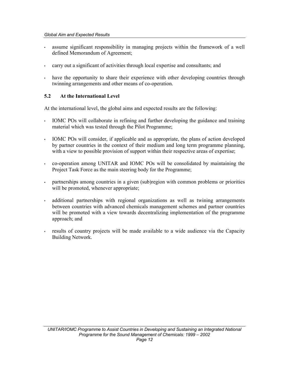- assume significant responsibility in managing projects within the framework of a well defined Memorandum of Agreement;
- carry out a significant of activities through local expertise and consultants; and
- have the opportunity to share their experience with other developing countries through twinning arrangements and other means of co-operation.

# **5.2 At the International Level**

At the international level, the global aims and expected results are the following:

- IOMC POs will collaborate in refining and further developing the guidance and training material which was tested through the Pilot Programme;
- IOMC POs will consider, if applicable and as appropriate, the plans of action developed by partner countries in the context of their medium and long term programme planning, with a view to possible provision of support within their respective areas of expertise;
- co-operation among UNITAR and IOMC POs will be consolidated by maintaining the Project Task Force as the main steering body for the Programme;
- partnerships among countries in a given (sub)region with common problems or priorities will be promoted, whenever appropriate;
- additional partnerships with regional organizations as well as twining arrangements between countries with advanced chemicals management schemes and partner countries will be promoted with a view towards decentralizing implementation of the programme approach; and
- results of country projects will be made available to a wide audience via the Capacity Building Network.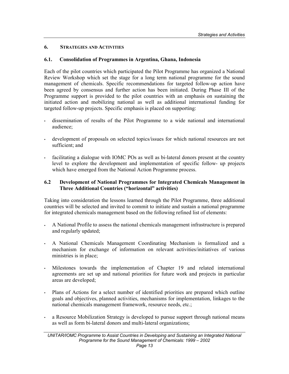### **6. STRATEGIES AND ACTIVITIES**

### **6.1. Consolidation of Programmes in Argentina, Ghana, Indonesia**

Each of the pilot countries which participated the Pilot Programme has organized a National Review Workshop which set the stage for a long term national programme for the sound management of chemicals. Specific recommendations for targeted follow-up action have been agreed by consensus and further action has been initiated. During Phase III of the Programme support is provided to the pilot countries with an emphasis on sustaining the initiated action and mobilizing national as well as additional international funding for targeted follow-up projects. Specific emphasis is placed on supporting:

- dissemination of results of the Pilot Programme to a wide national and international audience;
- development of proposals on selected topics/issues for which national resources are not sufficient; and
- facilitating a dialogue with IOMC POs as well as bi-lateral donors present at the country level to explore the development and implementation of specific follow- up projects which have emerged from the National Action Programme process.

### **6.2 Development of National Programmes for Integrated Chemicals Management in Three Additional Countries ("horizontal" activities)**

Taking into consideration the lessons learned through the Pilot Programme, three additional countries will be selected and invited to commit to initiate and sustain a national programme for integrated chemicals management based on the following refined list of elements:

- A National Profile to assess the national chemicals management infrastructure is prepared and regularly updated;
- A National Chemicals Management Coordinating Mechanism is formalized and a mechanism for exchange of information on relevant activities/initiatives of various ministries is in place;
- Milestones towards the implementation of Chapter 19 and related international agreements are set up and national priorities for future work and projects in particular areas are developed;
- Plans of Actions for a select number of identified priorities are prepared which outline goals and objectives, planned activities, mechanisms for implementation, linkages to the national chemicals management framework, resource needs, etc.;
- a Resource Mobilization Strategy is developed to pursue support through national means as well as form bi-lateral donors and multi-lateral organizations;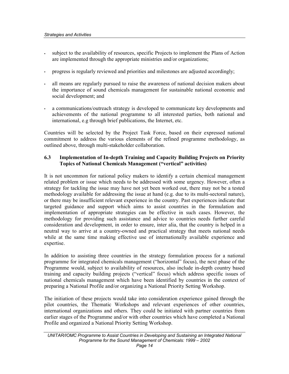- subject to the availability of resources, specific Projects to implement the Plans of Action are implemented through the appropriate ministries and/or organizations;
- progress is regularly reviewed and priorities and milestones are adjusted accordingly;
- all means are regularly pursued to raise the awareness of national decision makers about the importance of sound chemicals management for sustainable national economic and social development; and
- a communications/outreach strategy is developed to communicate key developments and achievements of the national programme to all interested parties, both national and international, e.g through brief publications, the Internet, etc.

Countries will be selected by the Project Task Force, based on their expressed national commitment to address the various elements of the refined programme methodology, as outlined above, through multi-stakeholder collaboration.

### **6.3 Implementation of In-depth Training and Capacity Building Projects on Priority Topics of National Chemicals Management ("vertical" activities)**

It is not uncommon for national policy makers to identify a certain chemical management related problem or issue which needs to be addressed with some urgency. However, often a strategy for tackling the issue may have not yet been worked out, there may not be a tested methodology available for addressing the issue at hand (e.g. due to its multi-sectoral nature), or there may be insufficient relevant experience in the country. Past experiences indicate that targeted guidance and support which aims to assist countries in the formulation and implementation of appropriate strategies can be effective in such cases. However, the methodology for providing such assistance and advice to countries needs further careful consideration and development, in order to ensure, inter alia, that the country is helped in a neutral way to arrive at a country-owned and practical strategy that meets national needs while at the same time making effective use of internationally available experience and expertise.

In addition to assisting three countries in the strategy formulation process for a national programme for integrated chemicals management ("horizontal" focus), the next phase of the Programme would, subject to availability of resources, also include in-depth country based training and capacity building projects ("vertical" focus) which address specific issues of national chemicals management which have been identified by countries in the context of preparing a National Profile and/or organizing a National Priority Setting Workshop.

The initiation of these projects would take into consideration experience gained through the pilot countries, the Thematic Workshops and relevant experiences of other countries, international organizations and others. They could be initiated with partner countries from earlier stages of the Programme and/or with other countries which have completed a National Profile and organized a National Priority Setting Workshop.

*UNITAR/IOMC Programme to Assist Countries in Developing and Sustaining an Integrated National Programme for the Sound Management of Chemicals: 1999 – 2002*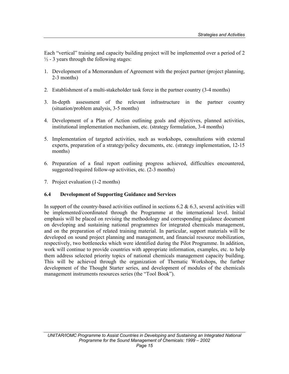Each "vertical" training and capacity building project will be implemented over a period of 2  $\frac{1}{2}$  - 3 years through the following stages:

- 1. Development of a Memorandum of Agreement with the project partner (project planning, 2-3 months)
- 2. Establishment of a multi-stakeholder task force in the partner country (3-4 months)
- 3. In-depth assessment of the relevant infrastructure in the partner country (situation/problem analysis, 3-5 months)
- 4. Development of a Plan of Action outlining goals and objectives, planned activities, institutional implementation mechanism, etc. (strategy formulation, 3-4 months)
- 5. Implementation of targeted activities, such as workshops, consultations with external experts, preparation of a strategy/policy documents, etc. (strategy implementation, 12-15 months)
- 6. Preparation of a final report outlining progress achieved, difficulties encountered, suggested/required follow-up activities, etc. (2-3 months)
- 7. Project evaluation (1-2 months)

### **6.4 Development of Supporting Guidance and Services**

In support of the country-based activities outlined in sections 6.2  $\&$  6.3, several activities will be implemented/coordinated through the Programme at the international level. Initial emphasis will be placed on revising the methodology and corresponding guidance document on developing and sustaining national programmes for integrated chemicals management, and on the preparation of related training material. In particular, support materials will be developed on sound project planning and management, and financial resource mobilization, respectively, two bottlenecks which were identified during the Pilot Programme. In addition, work will continue to provide countries with appropriate information, examples, etc. to help them address selected priority topics of national chemicals management capacity building. This will be achieved through the organization of Thematic Workshops, the further development of the Thought Starter series, and development of modules of the chemicals management instruments resources series (the "Tool Book").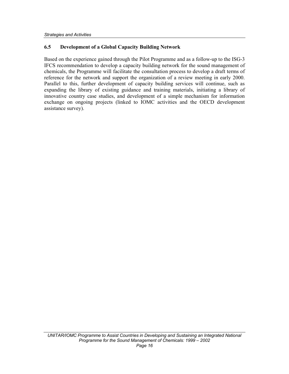### **6.5 Development of a Global Capacity Building Network**

Based on the experience gained through the Pilot Programme and as a follow-up to the ISG-3 IFCS recommendation to develop a capacity building network for the sound management of chemicals, the Programme will facilitate the consultation process to develop a draft terms of reference for the network and support the organization of a review meeting in early 2000. Parallel to this, further development of capacity building services will continue, such as expanding the library of existing guidance and training materials, initiating a library of innovative country case studies, and development of a simple mechanism for information exchange on ongoing projects (linked to IOMC activities and the OECD development assistance survey).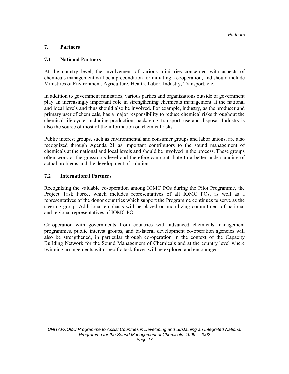# **7. Partners**

# **7.1 National Partners**

At the country level, the involvement of various ministries concerned with aspects of chemicals management will be a precondition for initiating a cooperation, and should include Ministries of Environment, Agriculture, Health, Labor, Industry, Transport, etc..

In addition to government ministries, various parties and organizations outside of government play an increasingly important role in strengthening chemicals management at the national and local levels and thus should also be involved. For example, industry, as the producer and primary user of chemicals, has a major responsibility to reduce chemical risks throughout the chemical life cycle, including production, packaging, transport, use and disposal. Industry is also the source of most of the information on chemical risks.

Public interest groups, such as environmental and consumer groups and labor unions, are also recognized through Agenda 21 as important contributors to the sound management of chemicals at the national and local levels and should be involved in the process. These groups often work at the grassroots level and therefore can contribute to a better understanding of actual problems and the development of solutions.

# **7.2 International Partners**

Recognizing the valuable co-operation among IOMC POs during the Pilot Programme, the Project Task Force, which includes representatives of all IOMC POs, as well as a representatives of the donor countries which support the Programme continues to serve as the steering group. Additional emphasis will be placed on mobilizing commitment of national and regional representatives of IOMC POs.

Co-operation with governments from countries with advanced chemicals management programmes, public interest groups, and bi-lateral development co-operation agencies will also be strengthened, in particular through co-operation in the context of the Capacity Building Network for the Sound Management of Chemicals and at the country level where twinning arrangements with specific task forces will be explored and encouraged.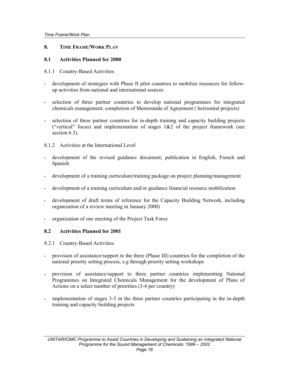### **8. TIME FRAME/WORK PLAN**

### **8.1 Activities Planned for 2000**

- 8.1.1 Country-Based Activities
- development of strategies with Phase II pilot countries to mobilize resources for followup activities from national and international sources
- selection of three partner countries to develop national programmes for integrated chemicals management; completion of Memoranda of Agreement ( horizontal projects)
- selection of three partner countries for in-depth training and capacity building projects ("vertical" focus) and implementation of stages  $1\&2$  of the project framework (see section 6.3).
- 8.1.2 Activities at the International Level
- development of the revised guidance document; publication in English, French and Spanish
- development of a training curriculum/training package on project planning/management
- development of a training curriculum and/or guidance financial resource mobilization
- development of draft terms of reference for the Capacity Building Network, including organization of a review meeting in January 2000)
- organization of one meeting of the Project Task Force

# **8.2 Activities Planned for 2001**

8.2.1 Country-Based Activities

- provision of assistance/support to the three (Phase III) countries for the completion of the national priority setting process, e.g through priority setting workshops
- provision of assistance/support to three partner countries implementing National Programmes on Integrated Chemicals Management for the development of Plans of Actions on a select number of priorities (3-4 per country)
- implementation of stages 3-5 in the three partner countries participating in the in-depth training and capacity building projects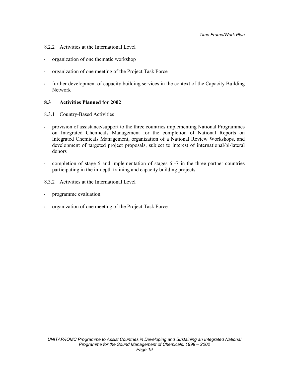- 8.2.2 Activities at the International Level
- organization of one thematic workshop
- organization of one meeting of the Project Task Force
- further development of capacity building services in the context of the Capacity Building Network

#### **8.3 Activities Planned for 2002**

- 8.3.1 Country-Based Activities
- provision of assistance/support to the three countries implementing National Programmes on Integrated Chemicals Management for the completion of National Reports on Integrated Chemicals Management, organization of a National Review Workshops, and development of targeted project proposals, subject to interest of international/bi-lateral donors
- completion of stage 5 and implementation of stages 6 -7 in the three partner countries participating in the in-depth training and capacity building projects
- 8.3.2 Activities at the International Level
- programme evaluation
- organization of one meeting of the Project Task Force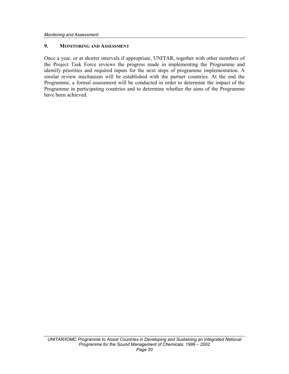#### **9. MONITORING AND ASSESSMENT**

Once a year, or at shorter intervals if appropriate, UNITAR, together with other members of the Project Task Force reviews the progress made in implementing the Programme and identify priorities and required inputs for the next steps of programme implementation. A similar review mechanism will be established with the partner countries. At the end the Programme, a formal assessment will be conducted in order to determine the impact of the Programme in participating countries and to determine whether the aims of the Programme have been achieved.